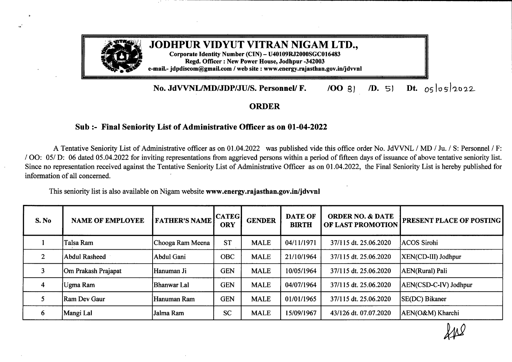

## **JODHPUR VIDYUT VITRAN NIGAM LTD.,**

**Corporate Identity Number (CIN) -- U40109R.J2000SGC016483 Regd. Officer : New Power House, Jodhpur -342003 e-mail.- jdpdiscom@gmail.com / web site : www.energy.rajasthan.gov.in/jdvvnl**

## **No. JdVVNL/MD/JDP/JU/S. Personnel/ F. /OO** 3) *ID.* 5) **Dt.** *os*losl2022

## **ORDER**

## **Sub:- Final Seniority List ofAdministrative Officer as on 01-04-2022**

A Tentative Seniority List of Administrative officer as on 01.04.2022 was published vide this office order No. JdVVNL / MD / Ju. / S: Personnel / F: / OO: 05/ D: 06 dated 05.04.2022 for inviting representations from aggrieved persons within a period of fifteen days of issuance of above tentative seniority list. Since no representation received against the Tentative Seniority List of Administrative Officer as on 01.04.2022, the Final Seniority List is hereby published for information of all concerned.

This seniority list is also available on Nigam website **www.energy.rajasthan.gov.in/jdvvnl**

| S. No                   | <b>NAME OF EMPLOYEE</b> | <b>FATHER'S NAME</b> | <b>CATEG</b><br><b>ORY</b> | <b>GENDER</b> | <b>DATE OF</b><br><b>BIRTH</b> | <b>ORDER NO. &amp; DATE</b><br>OF LAST PROMOTION | <b>PRESENT PLACE OF POSTING</b> |
|-------------------------|-------------------------|----------------------|----------------------------|---------------|--------------------------------|--------------------------------------------------|---------------------------------|
|                         | Talsa Ram               | Chooga Ram Meena     | <b>ST</b>                  | <b>MALE</b>   | 04/11/1971                     | 37/115 dt. 25.06.2020                            | ACOS Sirohi                     |
|                         | Abdul Rasheed           | Abdul Gani           | <b>OBC</b>                 | <b>MALE</b>   | 21/10/1964                     | 37/115 dt. 25.06.2020                            | XEN(CD-III) Jodhpur             |
|                         | Om Prakash Prajapat     | lHanuman Ji          | <b>GEN</b>                 | <b>MALE</b>   | 10/05/1964                     | 37/115 dt. 25.06.2020                            | AEN(Rural) Pali                 |
| $\overline{\mathbf{4}}$ | Ugma Ram                | Bhanwar Lal          | <b>GEN</b>                 | <b>MALE</b>   | 04/07/1964                     | 37/115 dt. 25.06.2020                            | AEN(CSD-C-IV) Jodhpur           |
|                         | Ram Dev Gaur            | Hanuman Ram          | <b>GEN</b>                 | <b>MALE</b>   | 01/01/1965                     | 37/115 dt. 25.06.2020                            | SE(DC) Bikaner                  |
| 6                       | Mangi Lal               | Jalma Ram            | <b>SC</b>                  | <b>MALE</b>   | 15/09/1967                     | 43/126 dt. 07.07.2020                            | AEN(O&M) Kharchi                |

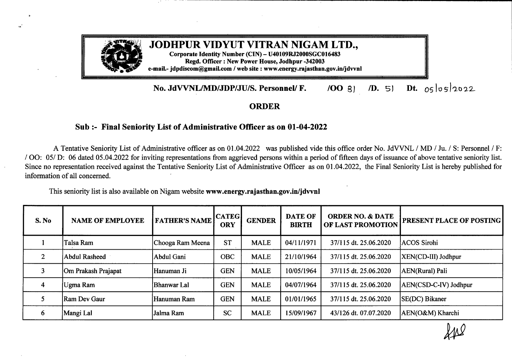| S. No | <b>NAME OF EMPLOYEE</b> | <b>FATHER'S NAME</b> | <b>CATEG</b><br><b>ORY</b> | <b>GENDER</b> | <b>DATE OF</b><br><b>BIRTH</b> | <b>ORDER NO. &amp; DATE</b><br>OF LAST PROMOTION | <b>PRESENT PLACE OF POSTING</b> |
|-------|-------------------------|----------------------|----------------------------|---------------|--------------------------------|--------------------------------------------------|---------------------------------|
| 7     | Deva Ram                | Bhura Ram            | <b>SC</b>                  | <b>MALE</b>   | 12/12/1968                     | 43/126 dt. 07.07.2020                            | AEN(O&M) Bilara                 |
| 8     | Madan Gopal Rajpurohit  | Jagnath Rajpurohit   | <b>GEN</b>                 | <b>MALE</b>   | 06/08/1965                     | 81/195 dt. 04.11.2020                            | XEN(M&P) Bikaner                |
| 9     | Mohan Lal               | Khimaji Kumar        | <b>OBC</b>                 | <b>MALE</b>   | 31/10/1962                     | 84/201 dt. 11.11.2020                            | XEN(O&M) Sirohi                 |
| 10    | Rajesh Kumar Mathur     | Dev Raj Mathur       | <b>GEN</b>                 | <b>MALE</b>   | 07/05/1964                     | 126/283 dt. 10.03.2021                           | AO(O&M) Sirohi                  |
| 11    | Subhash Chander         | Preetam Singh        | <b>GEN</b>                 | <b>MALE</b>   | 02/12/1962                     | 39/120 dt. 26.07.2021                            | <b>AEN(Rural)</b> Suratgarh     |
| 12    | Sohan Singh             | Udai Singh           | <b>GEN</b>                 | <b>MALE</b>   | 16/01/1964                     | 39/120 dt. 26.07.2021                            | AEN(O&M)Ranawas                 |
| 13    | Satya Pal Lamba         | <b>Bhal Singh</b>    | <b>OBC</b>                 | <b>MALE</b>   | 15/05/1962                     | 39/120 dt. 26.07.2021                            | AEN(O&M) Bhadra                 |
| 14    | Devendra Kumar          | Shiv Narayan         | <b>GEN</b>                 | <b>MALE</b>   | 02/09/1962                     | 39/120 dt. 26.07.2021                            | AEN(O&M) Balotra                |
| 15    | Rameshwar Changani      | Jog Raj              | <b>GEN</b>                 | <b>MALE</b>   | 07/07/1962                     | 49/149 dt. 28.09.2021                            | AEN(City) Pholadi               |

**By Order**

Secretary (Admn.) **JdWNL, Jodhpur**

Copy to the following for information and necessary action:

1. The Chief Engineer/Addl. Chief Engineer ( ), JdVVNL,

- 2. The Chief Controller of Accounts, JdVVNL, Jodhpur
- 
- 3. The Zonal Chief Engineer ( ), JdVVNL, 4. The Chief Accounts Officer (
- 5. The Joint Director (Corporate Affairs)-cum-Company Secretary, Jodhpur Discom, Jodhpur.
- 6. The Addi. Superintendent of Police (Vig.) JdVVNL, Jodhpur.
- 7. The TA to Managing Director, JdVVNL, Jodhpur/ Jaipur.